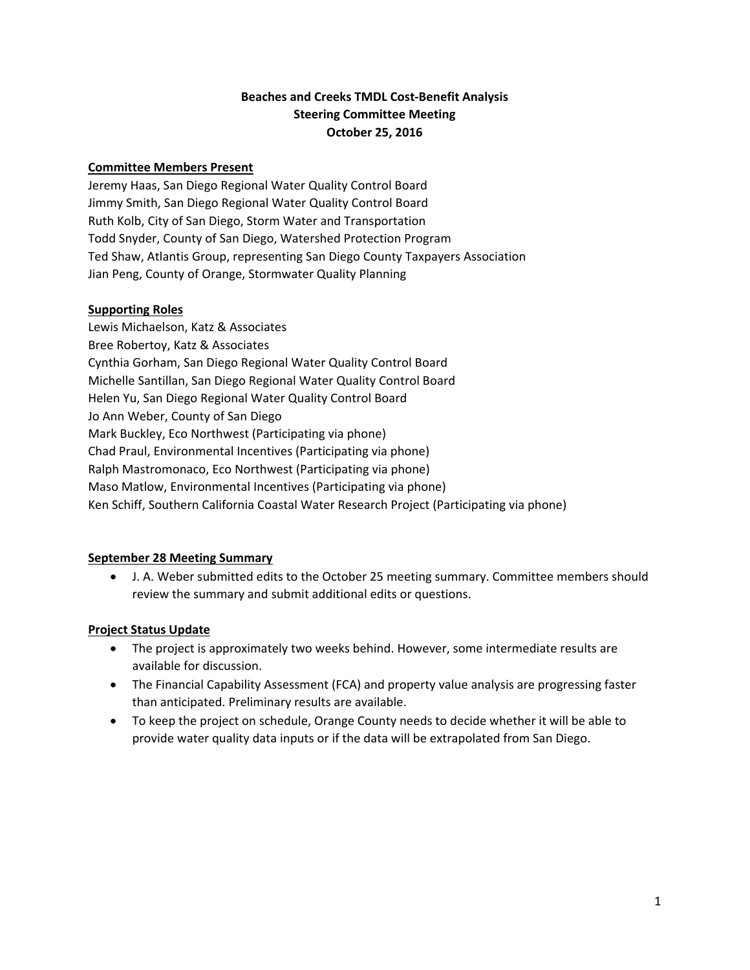# **Beaches and Creeks TMDL Cost‐Benefit Analysis Steering Committee Meeting October 25, 2016**

# **Committee Members Present**

Jeremy Haas, San Diego Regional Water Quality Control Board Jimmy Smith, San Diego Regional Water Quality Control Board Ruth Kolb, City of San Diego, Storm Water and Transportation Todd Snyder, County of San Diego, Watershed Protection Program Ted Shaw, Atlantis Group, representing San Diego County Taxpayers Association Jian Peng, County of Orange, Stormwater Quality Planning

#### **Supporting Roles**

Lewis Michaelson, Katz & Associates Bree Robertoy, Katz & Associates Cynthia Gorham, San Diego Regional Water Quality Control Board Michelle Santillan, San Diego Regional Water Quality Control Board Helen Yu, San Diego Regional Water Quality Control Board Jo Ann Weber, County of San Diego Mark Buckley, Eco Northwest (Participating via phone) Chad Praul, Environmental Incentives (Participating via phone) Ralph Mastromonaco, Eco Northwest (Participating via phone) Maso Matlow, Environmental Incentives (Participating via phone) Ken Schiff, Southern California Coastal Water Research Project (Participating via phone)

# **September 28 Meeting Summary**

 J. A. Weber submitted edits to the October 25 meeting summary. Committee members should review the summary and submit additional edits or questions.

# **Project Status Update**

- The project is approximately two weeks behind. However, some intermediate results are available for discussion.
- The Financial Capability Assessment (FCA) and property value analysis are progressing faster than anticipated. Preliminary results are available.
- To keep the project on schedule, Orange County needs to decide whether it will be able to provide water quality data inputs or if the data will be extrapolated from San Diego.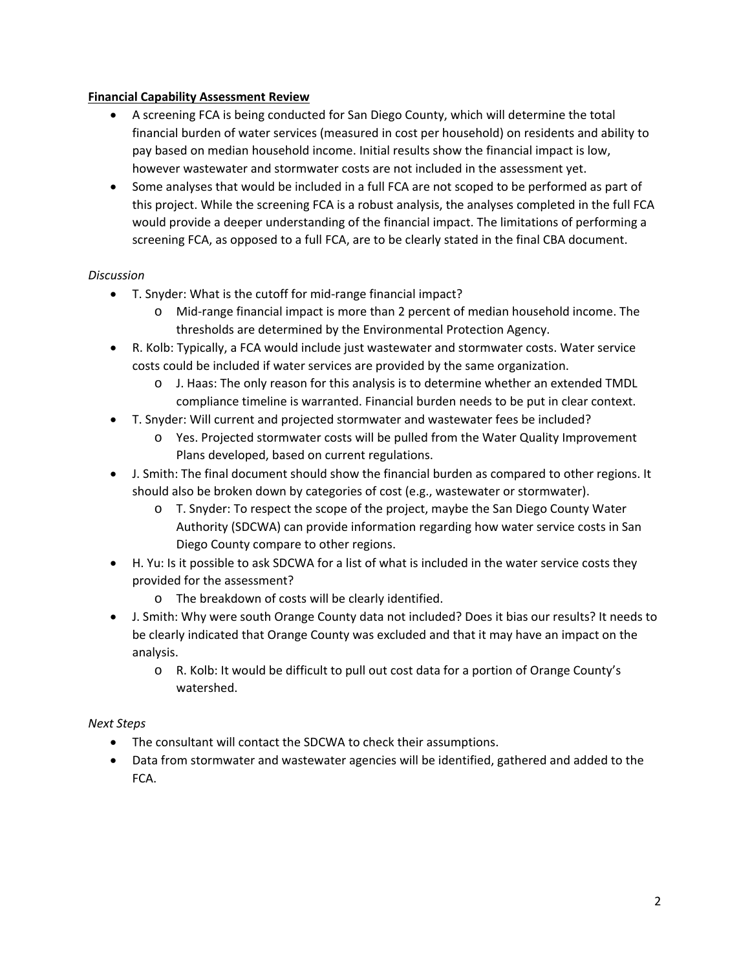#### **Financial Capability Assessment Review**

- A screening FCA is being conducted for San Diego County, which will determine the total financial burden of water services (measured in cost per household) on residents and ability to pay based on median household income. Initial results show the financial impact is low, however wastewater and stormwater costs are not included in the assessment yet.
- Some analyses that would be included in a full FCA are not scoped to be performed as part of this project. While the screening FCA is a robust analysis, the analyses completed in the full FCA would provide a deeper understanding of the financial impact. The limitations of performing a screening FCA, as opposed to a full FCA, are to be clearly stated in the final CBA document.

#### *Discussion*

- T. Snyder: What is the cutoff for mid‐range financial impact?
	- o Mid‐range financial impact is more than 2 percent of median household income. The thresholds are determined by the Environmental Protection Agency.
- R. Kolb: Typically, a FCA would include just wastewater and stormwater costs. Water service costs could be included if water services are provided by the same organization.
	- o J. Haas: The only reason for this analysis is to determine whether an extended TMDL compliance timeline is warranted. Financial burden needs to be put in clear context.
- T. Snyder: Will current and projected stormwater and wastewater fees be included?
	- o Yes. Projected stormwater costs will be pulled from the Water Quality Improvement Plans developed, based on current regulations.
- J. Smith: The final document should show the financial burden as compared to other regions. It should also be broken down by categories of cost (e.g., wastewater or stormwater).
	- o T. Snyder: To respect the scope of the project, maybe the San Diego County Water Authority (SDCWA) can provide information regarding how water service costs in San Diego County compare to other regions.
- H. Yu: Is it possible to ask SDCWA for a list of what is included in the water service costs they provided for the assessment?
	- o The breakdown of costs will be clearly identified.
- J. Smith: Why were south Orange County data not included? Does it bias our results? It needs to be clearly indicated that Orange County was excluded and that it may have an impact on the analysis.
	- o R. Kolb: It would be difficult to pull out cost data for a portion of Orange County's watershed.

# *Next Steps*

- The consultant will contact the SDCWA to check their assumptions.
- Data from stormwater and wastewater agencies will be identified, gathered and added to the FCA.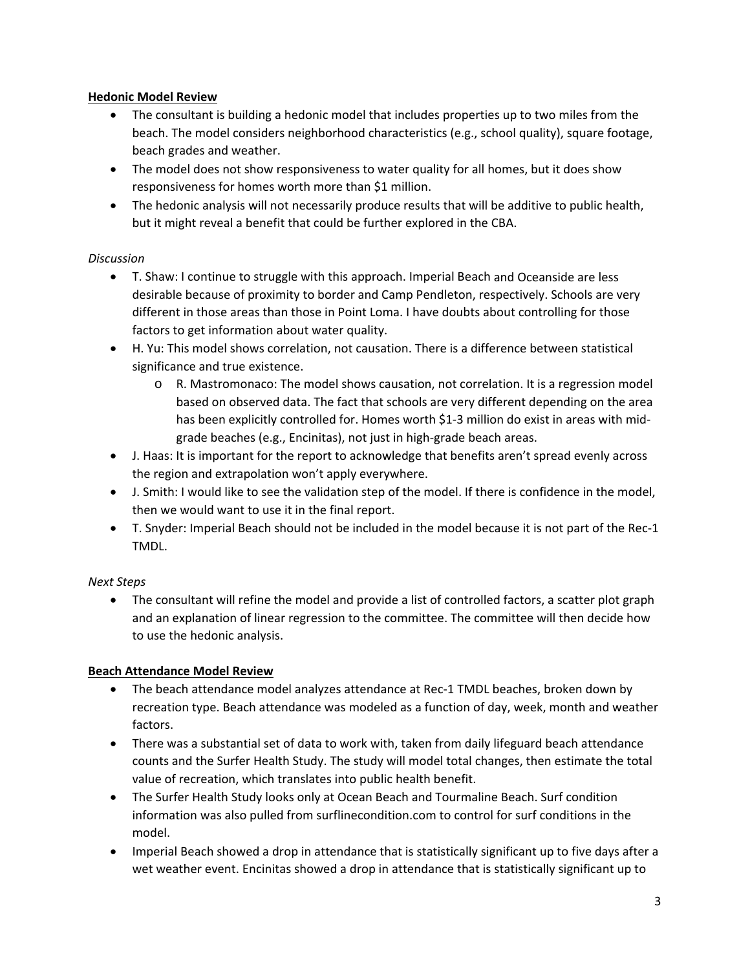# **Hedonic Model Review**

- The consultant is building a hedonic model that includes properties up to two miles from the beach. The model considers neighborhood characteristics (e.g., school quality), square footage, beach grades and weather.
- The model does not show responsiveness to water quality for all homes, but it does show responsiveness for homes worth more than \$1 million.
- The hedonic analysis will not necessarily produce results that will be additive to public health, but it might reveal a benefit that could be further explored in the CBA.

# *Discussion*

- T. Shaw: I continue to struggle with this approach. Imperial Beach and Oceanside are less desirable because of proximity to border and Camp Pendleton, respectively. Schools are very different in those areas than those in Point Loma. I have doubts about controlling for those factors to get information about water quality.
- H. Yu: This model shows correlation, not causation. There is a difference between statistical significance and true existence.
	- o R. Mastromonaco: The model shows causation, not correlation. It is a regression model based on observed data. The fact that schools are very different depending on the area has been explicitly controlled for. Homes worth \$1-3 million do exist in areas with midgrade beaches (e.g., Encinitas), not just in high‐grade beach areas.
- J. Haas: It is important for the report to acknowledge that benefits aren't spread evenly across the region and extrapolation won't apply everywhere.
- J. Smith: I would like to see the validation step of the model. If there is confidence in the model, then we would want to use it in the final report.
- T. Snyder: Imperial Beach should not be included in the model because it is not part of the Rec‐1 TMDL.

# *Next Steps*

• The consultant will refine the model and provide a list of controlled factors, a scatter plot graph and an explanation of linear regression to the committee. The committee will then decide how to use the hedonic analysis.

# **Beach Attendance Model Review**

- The beach attendance model analyzes attendance at Rec‐1 TMDL beaches, broken down by recreation type. Beach attendance was modeled as a function of day, week, month and weather factors.
- There was a substantial set of data to work with, taken from daily lifeguard beach attendance counts and the Surfer Health Study. The study will model total changes, then estimate the total value of recreation, which translates into public health benefit.
- The Surfer Health Study looks only at Ocean Beach and Tourmaline Beach. Surf condition information was also pulled from surflinecondition.com to control for surf conditions in the model.
- Imperial Beach showed a drop in attendance that is statistically significant up to five days after a wet weather event. Encinitas showed a drop in attendance that is statistically significant up to